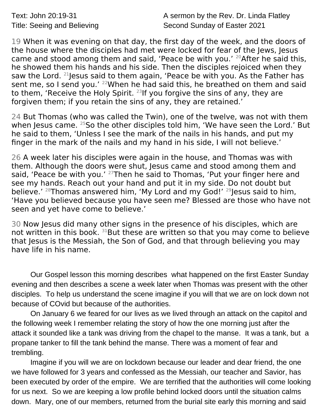Text: John 20:19-31 **A** sermon by the Rev. Dr. Linda Flatley Title: Seeing and Believing Second Sunday of Easter 2021

19 When it was evening on that day, the first day of the week, and the doors of the house where the disciples had met were locked for fear of the Jews, Jesus came and stood among them and said, 'Peace be with you.'  $20$ After he said this, he showed them his hands and his side. Then the disciples rejoiced when they saw the Lord. <sup>21</sup> lesus said to them again, 'Peace be with you. As the Father has sent me, so I send you.' <sup>22</sup>When he had said this, he breathed on them and said to them, 'Receive the Holy Spirit.  $^{23}$  If you forgive the sins of any, they are forgiven them; if you retain the sins of any, they are retained.'

24 But Thomas (who was called the Twin), one of the twelve, was not with them when Jesus came. <sup>25</sup>So the other disciples told him, 'We have seen the Lord.' But he said to them, 'Unless I see the mark of the nails in his hands, and put my finger in the mark of the nails and my hand in his side, I will not believe.'

26 A week later his disciples were again in the house, and Thomas was with them. Although the doors were shut, Jesus came and stood among them and said, 'Peace be with you.'  $27$ Then he said to Thomas, 'Put your finger here and see my hands. Reach out your hand and put it in my side. Do not doubt but believe.' <sup>28</sup>Thomas answered him, 'My Lord and my God!' <sup>29</sup> Jesus said to him, 'Have you believed because you have seen me? Blessed are those who have not seen and yet have come to believe.'

30 Now Jesus did many other signs in the presence of his disciples, which are not written in this book.  $31$ But these are written so that you may come to believe that Jesus is the Messiah, the Son of God, and that through believing you may have life in his name.

Our Gospel lesson this morning describes what happened on the first Easter Sunday evening and then describes a scene a week later when Thomas was present with the other disciples. To help us understand the scene imagine if you will that we are on lock down not because of COvid but because of the authorities.

On January 6 we feared for our lives as we lived through an attack on the capitol and the following week I remember relating the story of how the one morning just after the attack it sounded like a tank was driving from the chapel to the manse. It was a tank, but a propane tanker to fill the tank behind the manse. There was a moment of fear and trembling.

Imagine if you will we are on lockdown because our leader and dear friend, the one we have followed for 3 years and confessed as the Messiah, our teacher and Savior, has been executed by order of the empire. We are terrified that the authorities will come looking for us next. So we are keeping a low profile behind locked doors until the situation calms down. Mary, one of our members, returned from the burial site early this morning and said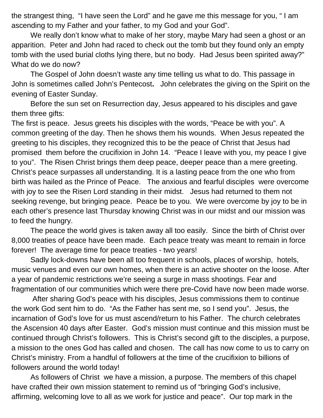the strangest thing, "I have seen the Lord" and he gave me this message for you, " I am ascending to my Father and your father, to my God and your God".

We really don't know what to make of her story, maybe Mary had seen a ghost or an apparition. Peter and John had raced to check out the tomb but they found only an empty tomb with the used burial cloths lying there, but no body. Had Jesus been spirited away?" What do we do now?

The Gospel of John doesn't waste any time telling us what to do. This passage in John is sometimes called John's Pentecost**.** John celebrates the giving on the Spirit on the evening of Easter Sunday.

Before the sun set on Resurrection day, Jesus appeared to his disciples and gave them three gifts:

The first is peace. Jesus greets his disciples with the words, "Peace be with you". A common greeting of the day. Then he shows them his wounds. When Jesus repeated the greeting to his disciples, they recognized this to be the peace of Christ that Jesus had promised them before the crucifixion in John 14. "Peace I leave with you, my peace I give to you". The Risen Christ brings them deep peace, deeper peace than a mere greeting. Christ's peace surpasses all understanding. It is a lasting peace from the one who from birth was hailed as the Prince of Peace. The anxious and fearful disciples were overcome with joy to see the Risen Lord standing in their midst. Jesus had returned to them not seeking revenge, but bringing peace. Peace be to you. We were overcome by joy to be in each other's presence last Thursday knowing Christ was in our midst and our mission was to feed the hungry.

The peace the world gives is taken away all too easily. Since the birth of Christ over 8,000 treaties of peace have been made. Each peace treaty was meant to remain in force forever! The average time for peace treaties - two years!

Sadly lock-downs have been all too frequent in schools, places of worship, hotels, music venues and even our own homes, when there is an active shooter on the loose. After a year of pandemic restrictions we're seeing a surge in mass shootings. Fear and fragmentation of our communities which were there pre-Covid have now been made worse.

 After sharing God's peace with his disciples, Jesus commissions them to continue the work God sent him to do. "As the Father has sent me, so I send you". Jesus, the incarnation of God's love for us must ascend/return to his Father. The church celebrates the Ascension 40 days after Easter. God's mission must continue and this mission must be continued through Christ's followers. This is Christ's second gift to the disciples, a purpose, a mission to the ones God has called and chosen. The call has now come to us to carry on Christ's ministry. From a handful of followers at the time of the crucifixion to billions of followers around the world today!

As followers of Christ we have a mission, a purpose. The members of this chapel have crafted their own mission statement to remind us of "bringing God's inclusive, affirming, welcoming love to all as we work for justice and peace". Our top mark in the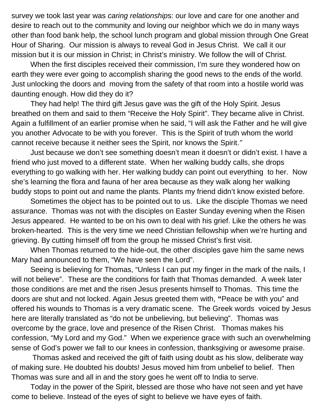survey we took last year was *caring relationship*s: our love and care for one another and desire to reach out to the community and loving our neighbor which we do in many ways other than food bank help, the school lunch program and global mission through One Great Hour of Sharing. Our mission is always to reveal God in Jesus Christ. We call it our mission but it is our mission in Christ; in Christ's ministry. We follow the will of Christ.

When the first disciples received their commission, I'm sure they wondered how on earth they were ever going to accomplish sharing the good news to the ends of the world. Just unlocking the doors and moving from the safety of that room into a hostile world was daunting enough. How did they do it?

They had help! The third gift Jesus gave was the gift of the Holy Spirit. Jesus breathed on them and said to them "Receive the Holy Spirit". They became alive in Christ. Again a fulfillment of an earlier promise when he said, "I will ask the Father and he will give you another Advocate to be with you forever. This is the Spirit of truth whom the world cannot receive because it neither sees the Spirit, nor knows the Spirit*."*

Just because we don't see something doesn't mean it doesn't or didn't exist. I have a friend who just moved to a different state. When her walking buddy calls, she drops everything to go walking with her. Her walking buddy can point out everything to her. Now she's learning the flora and fauna of her area because as they walk along her walking buddy stops to point out and name the plants. Plants my friend didn't know existed before.

Sometimes the object has to be pointed out to us. Like the disciple Thomas we need assurance. Thomas was not with the disciples on Easter Sunday evening when the Risen Jesus appeared. He wanted to be on his own to deal with his grief. Like the others he was broken-hearted. This is the very time we need Christian fellowship when we're hurting and grieving. By cutting himself off from the group he missed Christ's first visit.

When Thomas returned to the hide-out, the other disciples gave him the same news Mary had announced to them, "We have seen the Lord".

Seeing is believing for Thomas, "Unless I can put my finger in the mark of the nails, I will not believe". These are the conditions for faith that Thomas demanded. A week later those conditions are met and the risen Jesus presents himself to Thomas. This time the doors are shut and not locked. Again Jesus greeted them with, **"**Peace be with you" and offered his wounds to Thomas is a very dramatic scene. The Greek words voiced by Jesus here are literally translated as "do not be unbelieving, but believing". Thomas was overcome by the grace, love and presence of the Risen Christ. Thomas makes his confession, "My Lord and my God." When we experience grace with such an overwhelming sense of God's power we fall to our knees in confession, thanksgiving or awesome praise.

 Thomas asked and received the gift of faith using doubt as his slow, deliberate way of making sure. He doubted his doubts! Jesus moved him from unbelief to belief. Then Thomas was sure and all in and the story goes he went off to India to serve.

Today in the power of the Spirit, blessed are those who have not seen and yet have come to believe. Instead of the eyes of sight to believe we have eyes of faith.